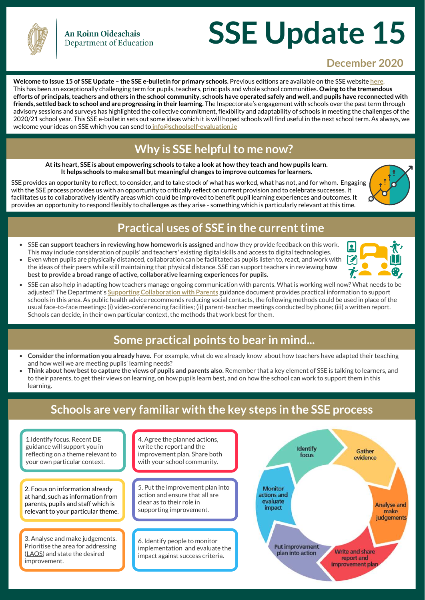

# **SSE Update 15**

#### **December 2020**

**Welcome to Issue 15 of SSE Update – the SSE e-bulletin for primary schools.** Previous editions are available on the SSE website **here.**  This has been an exceptionally challenging term for pupils, teachers, principals and whole school communities. **Owing to the tremendous efforts of principals, teachers and others in the school community, schools have operated safely and well, and pupils have reconnected with friends, settled back to school and are progressing in their learning.** The Inspectorate's engagement with schools over the past term through advisory sessions and surveys has highlighted the collective commitment, flexibility and adaptability of schools in meeting the challenges of the 2020/21 school year. This SSE e-bulletin sets out some ideas which it is will hoped schools will find useful in the next school term. As always, we welcome your ideas on SSE which you can send to **info@schoolself-evaluation.ie**

# **Why is SSE helpful to me now?**

**At its heart, SSE is about empowering schools to take a look at how they teach and how pupils learn. It helps schools to make small but meaningful changes to improve outcomes for learners.** 

SSE provides an opportunity to reflect, to consider, and to take stock of what has worked, what has not, and for whom. Engaging with the SSE process provides us with an opportunity to critically reflect on current provision and to celebrate successes. It facilitates us to collaboratively identify areas which could be improved to benefit pupil learning experiences and outcomes. It provides an opportunity to respond flexibly to challenges as they arise - something which is particularly relevant at this time.



### **Practical uses of SSE in the current time**

- $\bullet$ SSE **can support teachers in reviewing how homework is assigned** and how they provide feedback on this work. This may include consideration of pupils' and teachers' existing digital skills and access to digital technologies.
- Even when pupils are physically distanced, collaboration can be facilitated as pupils listen to, react, and work with the ideas of their peers while still maintaining that physical distance. SSE can support teachers in reviewing **how best to provide a broad range of active, collaborative learning experiences for pupils.**
- SSE can also help in adapting how teachers manage ongoing communication with parents. What is working well now? What needs to be adjusted? The Department's **Supporting Collaboration with Parents** guidance document provides practical information to support schools in this area. As public health advice recommends reducing social contacts, the following methods could be used in place of the usual face-to-face meetings: (i) video-conferencing facilities; (ii) parent-teacher meetings conducted by phone; (iii) a written report. Schools can decide, in their own particular context, the methods that work best for them.

# **Some practical points to bear in mind...**

- **Consider the information you already have.** For example, what do we already know about how teachers have adapted their teaching and how well we are meeting pupils' learning needs?
- **Think about how best to capture the views of pupils and parents also.** Remember that a key element of SSE is talking to learners, and to their parents, to get their views on learning, on how pupils learn best, and on how the school can work to support them in this learning.

# **Schools are very familiar with the key steps in the SSE process**

1.Identify focus. Recent DE guidance will support you in reflecting on a theme relevant to your own particular context.

2. Focus on information already at hand, such as information from parents, pupils and staff which is relevant to your particular theme.

3. Analyse and make judgements. Prioritise the area for addressing (LAOS) and state the desired improvement.

Short videos celebrating the

4. Agree the planned actions, write the report and the improvement plan. Share both with your school community.

5. Put the improvement plan into action and ensure that all are clear as to their role in supporting improvement.

6. Identify people to monitor  $\blacksquare$ implementation and evaluate the impact against success criteria.

Information booklets